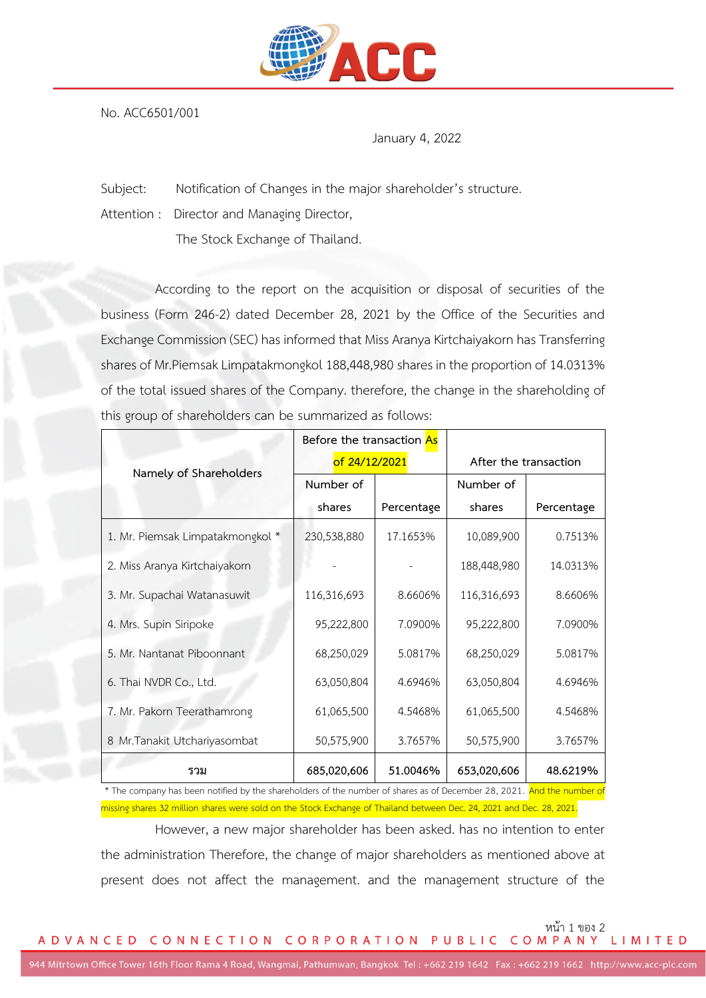

No. ACC6501/001

January 4, 2022

Subject: Notification of Changes in the major shareholder's structure.

Attention : Director and Managing Director,

The Stock Exchange of Thailand.

According to the report on the acquisition or disposal of securities of the business (Form 246-2) dated December 28, 2021 by the Office of the Securities and Exchange Commission (SEC) has informed that Miss Aranya Kirtchaiyakorn has Transferring shares of Mr.Piemsak Limpatakmongkol 188,448,980 shares in the proportion of 14.0313% of the total issued shares of the Company. therefore, the change in the shareholding of this group of shareholders can be summarized as follows:

| Namely of Shareholders           | Before the transaction As |            |                       |            |
|----------------------------------|---------------------------|------------|-----------------------|------------|
|                                  | of 24/12/2021             |            | After the transaction |            |
|                                  | Number of                 |            | Number of             |            |
|                                  | shares                    | Percentage | shares                | Percentage |
| 1. Mr. Piemsak Limpatakmongkol * | 230,538,880               | 17.1653%   | 10,089,900            | 0.7513%    |
| 2. Miss Aranya Kirtchaiyakorn    |                           |            | 188,448,980           | 14.0313%   |
| 3. Mr. Supachai Watanasuwit      | 116,316,693               | 8.6606%    | 116,316,693           | 8.6606%    |
| 4. Mrs. Supin Siripoke           | 95,222,800                | 7.0900%    | 95,222,800            | 7.0900%    |
| 5. Mr. Nantanat Piboonnant       | 68,250,029                | 5.0817%    | 68,250,029            | 5.0817%    |
| 6. Thai NVDR Co., Ltd.           | 63,050,804                | 4.6946%    | 63,050,804            | 4.6946%    |
| 7. Mr. Pakorn Teerathamrong      | 61,065,500                | 4.5468%    | 61,065,500            | 4.5468%    |
| 8 Mr. Tanakit Utchariyasombat    | 50,575,900                | 3.7657%    | 50,575,900            | 3.7657%    |
| รวม                              | 685,020,606               | 51.0046%   | 653,020,606           | 48.6219%   |

\* The company has been notified by the shareholders of the number of shares as of December 28, 2021. And the number of missing shares 32 million shares were sold on the Stock Exchange of Thailand between Dec. 24, 2021 and Dec. 28, 2021.

However, a new major shareholder has been asked. has no intention to enter the administration Therefore, the change of major shareholders as mentioned above at present does not affect the management. and the management structure of the

หน้า 1 ของ 2<br>A D V A N C E D C O N N E C T I O N C O R P O R A T I O N P U B L I C C O M P A N Y L I M I T E D